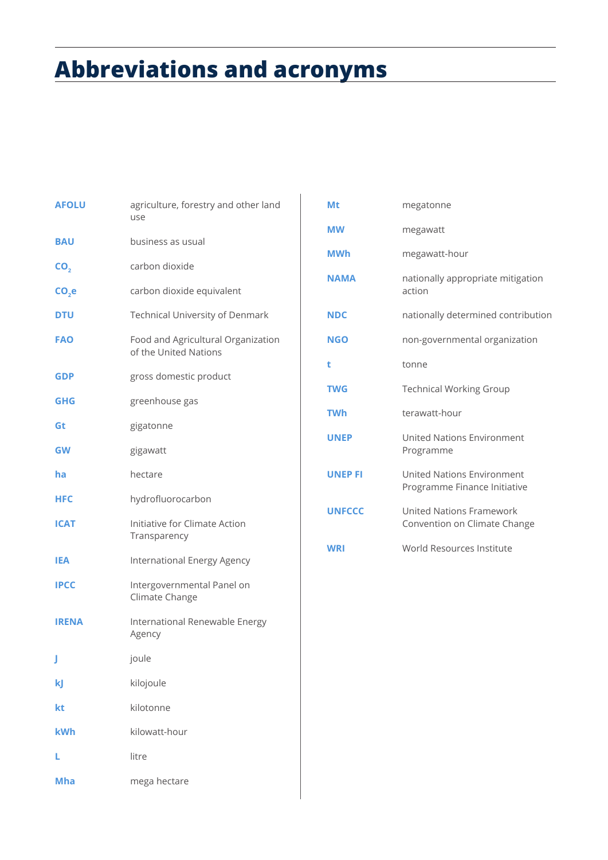# **Abbreviations and acronyms**

| <b>AFOLU</b> | agriculture, forestry and other land<br>use                 |
|--------------|-------------------------------------------------------------|
| <b>BAU</b>   | business as usual                                           |
| CO,          | carbon dioxide                                              |
| $CO2$ e      | carbon dioxide equivalent                                   |
| DTU          | <b>Technical University of Denmark</b>                      |
| FAO          | Food and Agricultural Organization<br>of the United Nations |
| GDP          | gross domestic product                                      |
| GHG          | greenhouse gas                                              |
| Gt           | gigatonne                                                   |
| <b>GW</b>    | gigawatt                                                    |
| ha           | hectare                                                     |
| <b>HFC</b>   | hydrofluorocarbon                                           |
| <b>ICAT</b>  | Initiative for Climate Action<br>Transparency               |
| IEA          | International Energy Agency                                 |
| <b>IPCC</b>  | Intergovernmental Panel on<br>Climate Change                |
| <b>IRENA</b> | International Renewable Energy<br>Agency                    |
| J            | joule                                                       |
| kJ           | kilojoule                                                   |
| kt           | kilotonne                                                   |
| kWh          | kilowatt-hour                                               |
| L            | litre                                                       |
| <b>Mha</b>   | mega hectare                                                |

| Mt             | megatonne                                                         |
|----------------|-------------------------------------------------------------------|
| <b>MW</b>      | megawatt                                                          |
| <b>MWh</b>     | megawatt-hour                                                     |
| <b>NAMA</b>    | nationally appropriate mitigation<br>action                       |
| <b>NDC</b>     | nationally determined contribution                                |
| <b>NGO</b>     | non-governmental organization                                     |
| t              | tonne                                                             |
| <b>TWG</b>     | <b>Technical Working Group</b>                                    |
| <b>TWh</b>     | terawatt-hour                                                     |
| <b>UNEP</b>    | <b>United Nations Environment</b><br>Programme                    |
| <b>UNEP FI</b> | <b>United Nations Environment</b><br>Programme Finance Initiative |
| <b>UNFCCC</b>  | <b>United Nations Framework</b><br>Convention on Climate Change   |
| <b>WRI</b>     | World Resources Institute                                         |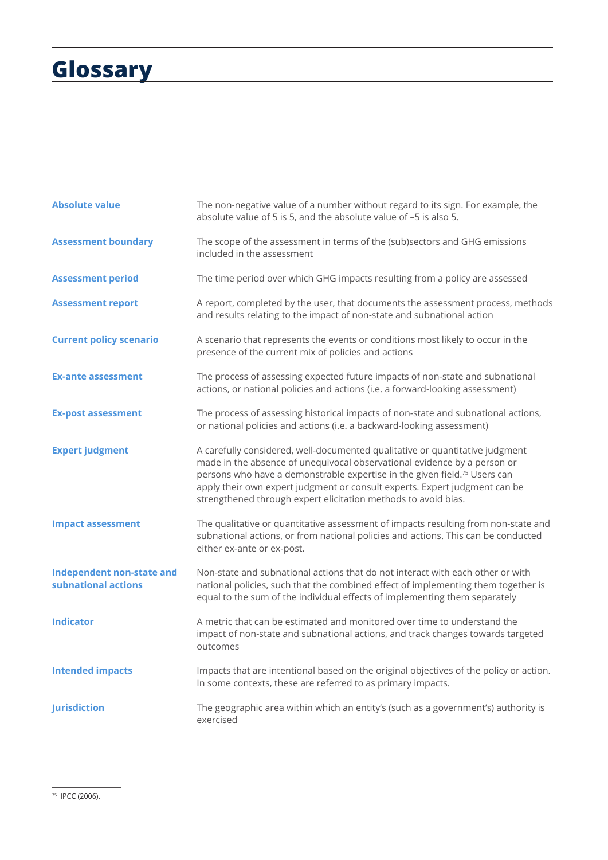# **Glossary**

| <b>Absolute value</b>                            | The non-negative value of a number without regard to its sign. For example, the<br>absolute value of 5 is 5, and the absolute value of -5 is also 5.                                                                                                                                                                                                                                              |
|--------------------------------------------------|---------------------------------------------------------------------------------------------------------------------------------------------------------------------------------------------------------------------------------------------------------------------------------------------------------------------------------------------------------------------------------------------------|
| <b>Assessment boundary</b>                       | The scope of the assessment in terms of the (sub)sectors and GHG emissions<br>included in the assessment                                                                                                                                                                                                                                                                                          |
| <b>Assessment period</b>                         | The time period over which GHG impacts resulting from a policy are assessed                                                                                                                                                                                                                                                                                                                       |
| <b>Assessment report</b>                         | A report, completed by the user, that documents the assessment process, methods<br>and results relating to the impact of non-state and subnational action                                                                                                                                                                                                                                         |
| <b>Current policy scenario</b>                   | A scenario that represents the events or conditions most likely to occur in the<br>presence of the current mix of policies and actions                                                                                                                                                                                                                                                            |
| <b>Ex-ante assessment</b>                        | The process of assessing expected future impacts of non-state and subnational<br>actions, or national policies and actions (i.e. a forward-looking assessment)                                                                                                                                                                                                                                    |
| <b>Ex-post assessment</b>                        | The process of assessing historical impacts of non-state and subnational actions,<br>or national policies and actions (i.e. a backward-looking assessment)                                                                                                                                                                                                                                        |
| <b>Expert judgment</b>                           | A carefully considered, well-documented qualitative or quantitative judgment<br>made in the absence of unequivocal observational evidence by a person or<br>persons who have a demonstrable expertise in the given field. <sup>75</sup> Users can<br>apply their own expert judgment or consult experts. Expert judgment can be<br>strengthened through expert elicitation methods to avoid bias. |
| <b>Impact assessment</b>                         | The qualitative or quantitative assessment of impacts resulting from non-state and<br>subnational actions, or from national policies and actions. This can be conducted<br>either ex-ante or ex-post.                                                                                                                                                                                             |
| Independent non-state and<br>subnational actions | Non-state and subnational actions that do not interact with each other or with<br>national policies, such that the combined effect of implementing them together is<br>equal to the sum of the individual effects of implementing them separately                                                                                                                                                 |
| <b>Indicator</b>                                 | A metric that can be estimated and monitored over time to understand the<br>impact of non-state and subnational actions, and track changes towards targeted<br>outcomes                                                                                                                                                                                                                           |
| <b>Intended impacts</b>                          | Impacts that are intentional based on the original objectives of the policy or action.<br>In some contexts, these are referred to as primary impacts.                                                                                                                                                                                                                                             |
| <b>Jurisdiction</b>                              | The geographic area within which an entity's (such as a government's) authority is<br>exercised                                                                                                                                                                                                                                                                                                   |

75 IPCC (2006).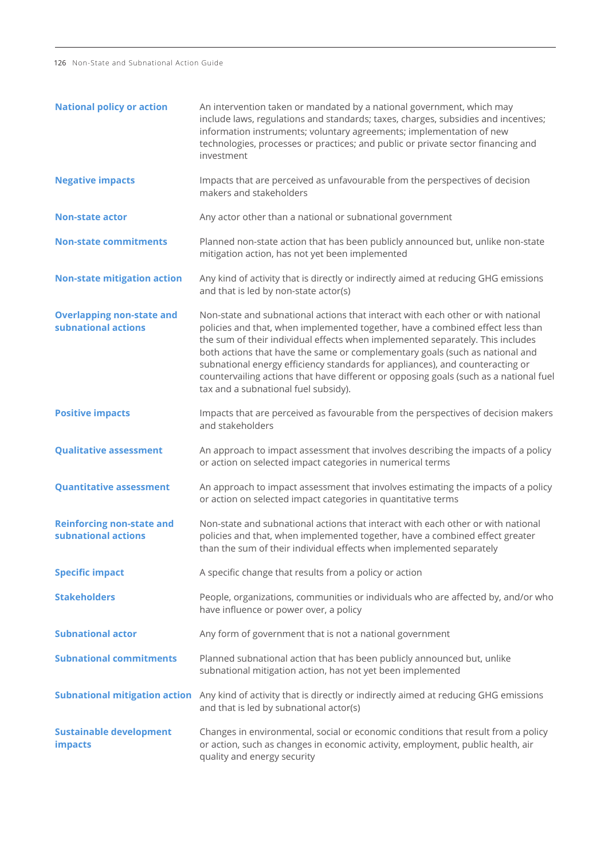126 Non-State and Subnational Action Guide

| <b>National policy or action</b>                        | An intervention taken or mandated by a national government, which may<br>include laws, regulations and standards; taxes, charges, subsidies and incentives;<br>information instruments; voluntary agreements; implementation of new<br>technologies, processes or practices; and public or private sector financing and<br>investment                                                                                                                                                                                                                  |
|---------------------------------------------------------|--------------------------------------------------------------------------------------------------------------------------------------------------------------------------------------------------------------------------------------------------------------------------------------------------------------------------------------------------------------------------------------------------------------------------------------------------------------------------------------------------------------------------------------------------------|
| <b>Negative impacts</b>                                 | Impacts that are perceived as unfavourable from the perspectives of decision<br>makers and stakeholders                                                                                                                                                                                                                                                                                                                                                                                                                                                |
| <b>Non-state actor</b>                                  | Any actor other than a national or subnational government                                                                                                                                                                                                                                                                                                                                                                                                                                                                                              |
| <b>Non-state commitments</b>                            | Planned non-state action that has been publicly announced but, unlike non-state<br>mitigation action, has not yet been implemented                                                                                                                                                                                                                                                                                                                                                                                                                     |
| <b>Non-state mitigation action</b>                      | Any kind of activity that is directly or indirectly aimed at reducing GHG emissions<br>and that is led by non-state actor(s)                                                                                                                                                                                                                                                                                                                                                                                                                           |
| <b>Overlapping non-state and</b><br>subnational actions | Non-state and subnational actions that interact with each other or with national<br>policies and that, when implemented together, have a combined effect less than<br>the sum of their individual effects when implemented separately. This includes<br>both actions that have the same or complementary goals (such as national and<br>subnational energy efficiency standards for appliances), and counteracting or<br>countervailing actions that have different or opposing goals (such as a national fuel<br>tax and a subnational fuel subsidy). |
| <b>Positive impacts</b>                                 | Impacts that are perceived as favourable from the perspectives of decision makers<br>and stakeholders                                                                                                                                                                                                                                                                                                                                                                                                                                                  |
| <b>Qualitative assessment</b>                           | An approach to impact assessment that involves describing the impacts of a policy<br>or action on selected impact categories in numerical terms                                                                                                                                                                                                                                                                                                                                                                                                        |
| <b>Quantitative assessment</b>                          | An approach to impact assessment that involves estimating the impacts of a policy<br>or action on selected impact categories in quantitative terms                                                                                                                                                                                                                                                                                                                                                                                                     |
| <b>Reinforcing non-state and</b><br>subnational actions | Non-state and subnational actions that interact with each other or with national<br>policies and that, when implemented together, have a combined effect greater<br>than the sum of their individual effects when implemented separately                                                                                                                                                                                                                                                                                                               |
| <b>Specific impact</b>                                  | A specific change that results from a policy or action                                                                                                                                                                                                                                                                                                                                                                                                                                                                                                 |
| <b>Stakeholders</b>                                     | People, organizations, communities or individuals who are affected by, and/or who<br>have influence or power over, a policy                                                                                                                                                                                                                                                                                                                                                                                                                            |
| <b>Subnational actor</b>                                | Any form of government that is not a national government                                                                                                                                                                                                                                                                                                                                                                                                                                                                                               |
| <b>Subnational commitments</b>                          | Planned subnational action that has been publicly announced but, unlike<br>subnational mitigation action, has not yet been implemented                                                                                                                                                                                                                                                                                                                                                                                                                 |
|                                                         | Subnational mitigation action Any kind of activity that is directly or indirectly aimed at reducing GHG emissions<br>and that is led by subnational actor(s)                                                                                                                                                                                                                                                                                                                                                                                           |
| <b>Sustainable development</b><br><b>impacts</b>        | Changes in environmental, social or economic conditions that result from a policy<br>or action, such as changes in economic activity, employment, public health, air<br>quality and energy security                                                                                                                                                                                                                                                                                                                                                    |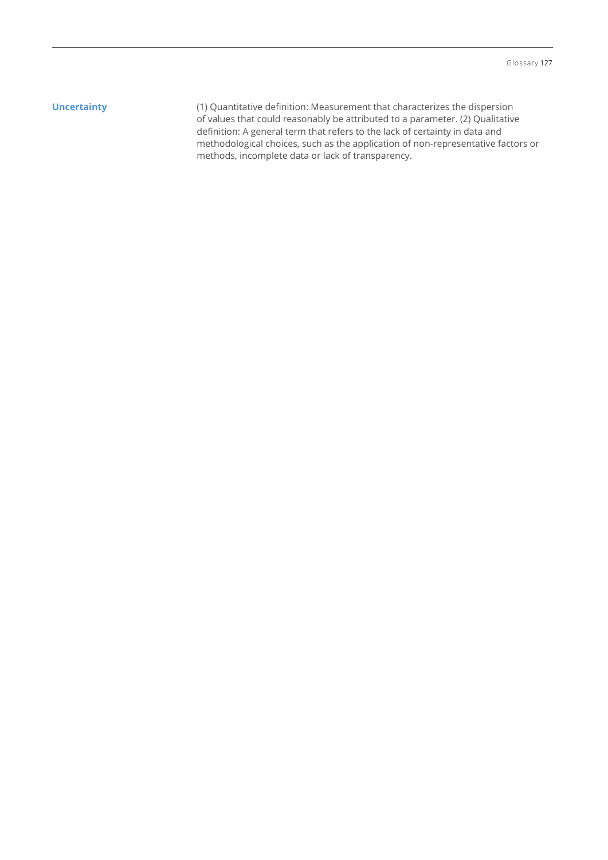**Uncertainty (1)** Quantitative definition: Measurement that characterizes the dispersion of values that could reasonably be attributed to a parameter. (2) Qualitative definition: A general term that refers to the lack of certainty in data and methodological choices, such as the application of non-representative factors or methods, incomplete data or lack of transparency.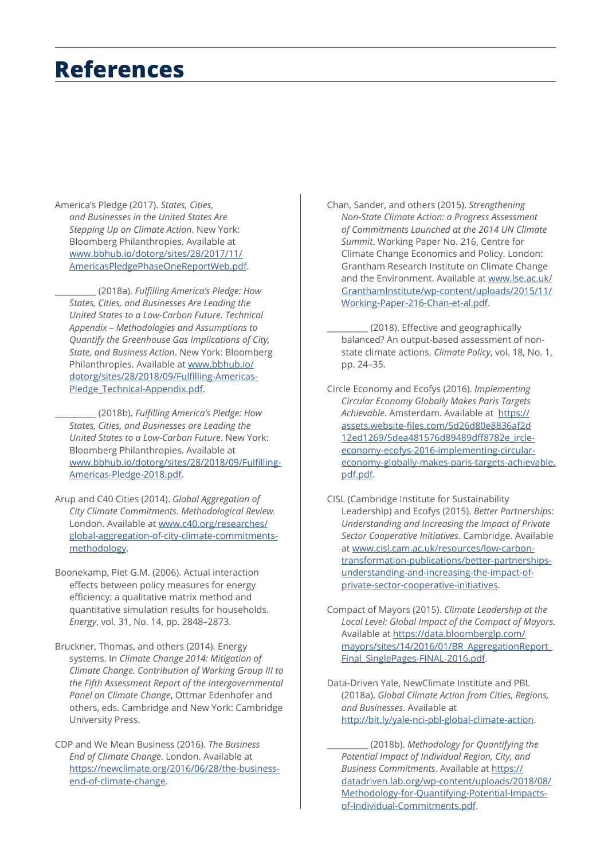### **References**

America's Pledge (2017). *States, Cities, and Businesses in the United States Are Stepping Up on Climate Action*. New York: Bloomberg Philanthropies. Available at [www.bbhub.io/dotorg/sites/28/2017/11/](http://www.bbhub.io/dotorg/sites/28/2017/11/AmericasPledgePhaseOneReportWeb.pdf) [AmericasPledgePhaseOneReportWeb.pdf.](http://www.bbhub.io/dotorg/sites/28/2017/11/AmericasPledgePhaseOneReportWeb.pdf)

\_\_\_\_\_\_\_\_\_\_ (2018a). *Fulfilling America's Pledge: How States, Cities, and Businesses Are Leading the United States to a Low-Carbon Future. Technical Appendix – Methodologies and Assumptions to Quantify the Greenhouse Gas Implications of City, State, and Business Action*. New York: Bloomberg Philanthropies. Available at [www.bbhub.io/](http://www.bbhub.io/dotorg/sites/28/2018/09/Fulfilling-Americas-Pledge_Technical-Appendix.pdf) [dotorg/sites/28/2018/09/Fulfilling-Americas-](http://www.bbhub.io/dotorg/sites/28/2018/09/Fulfilling-Americas-Pledge_Technical-Appendix.pdf)[Pledge\\_Technical-Appendix.pdf.](http://www.bbhub.io/dotorg/sites/28/2018/09/Fulfilling-Americas-Pledge_Technical-Appendix.pdf)

\_\_\_\_\_\_\_\_\_\_ (2018b). *Fulfilling America's Pledge: How States, Cities, and Businesses are Leading the United States to a Low-Carbon Future*. New York: Bloomberg Philanthropies. Available at [www.bbhub.io/dotorg/sites/28/2018/09/Fulfilling-](http://www.bbhub.io/dotorg/sites/28/2018/09/Fulfilling-Americas-Pledge-2018.pdf)[Americas-Pledge-2018.pdf](http://www.bbhub.io/dotorg/sites/28/2018/09/Fulfilling-Americas-Pledge-2018.pdf).

- Arup and C40 Cities (2014). *Global Aggregation of City Climate Commitments. Methodological Review.*  London. Available at [www.c40.org/researches/](http://www.c40.org/researches/global-aggregation-of-city-climate-commitments-methodology) [global-aggregation-of-city-climate-commitments](http://www.c40.org/researches/global-aggregation-of-city-climate-commitments-methodology)[methodology.](http://www.c40.org/researches/global-aggregation-of-city-climate-commitments-methodology)
- Boonekamp, Piet G.M. (2006). Actual interaction effects between policy measures for energy efficiency: a qualitative matrix method and quantitative simulation results for households. *Energy*, vol. 31, No. 14, pp. 2848–2873.
- Bruckner, Thomas, and others (2014). Energy systems. In *Climate Change 2014: Mitigation of Climate Change. Contribution of Working Group III to the Fifth Assessment Report of the Intergovernmental Panel on Climate Change*, Ottmar Edenhofer and others, eds. Cambridge and New York: Cambridge University Press.
- CDP and We Mean Business (2016). *The Business End of Climate Change*. London. Available at [https://newclimate.org/2016/06/28/the-business](https://newclimate.org/2016/06/28/the-business-end-of-climate-change)[end-of-climate-change](https://newclimate.org/2016/06/28/the-business-end-of-climate-change).

Chan, Sander, and others (2015). *Strengthening Non-State Climate Action: a Progress Assessment of Commitments Launched at the 2014 UN Climate Summit*. Working Paper No. 216, Centre for Climate Change Economics and Policy. London: Grantham Research Institute on Climate Change and the Environment. Available at [www.lse.ac.uk/](http://www.lse.ac.uk/GranthamInstitute/wp-content/uploads/2015/11/Working-Paper-216-Chan-et-al.pdf) [GranthamInstitute/wp-content/uploads/2015/11/](http://www.lse.ac.uk/GranthamInstitute/wp-content/uploads/2015/11/Working-Paper-216-Chan-et-al.pdf) [Working-Paper-216-Chan-et-al.pdf.](http://www.lse.ac.uk/GranthamInstitute/wp-content/uploads/2015/11/Working-Paper-216-Chan-et-al.pdf)

\_\_\_\_\_\_\_\_\_\_ (2018). Effective and geographically balanced? An output-based assessment of nonstate climate actions. *Climate Policy*, vol. 18, No. 1, pp. 24–35.

- Circle Economy and Ecofys (2016). *Implementing Circular Economy Globally Makes Paris Targets Achievable*. Amsterdam. Available at [https://](https://assets.website-files.com/5d26d80e8836af2d12ed1269/5dea481576d89489dff8782e_ircle-economy-ecofys-2016-implementing-circular-economy-globally-makes-paris-targets-achievable.pdf.pdf) [assets.website-files.com/5d26d80e8836af2d](https://assets.website-files.com/5d26d80e8836af2d12ed1269/5dea481576d89489dff8782e_ircle-economy-ecofys-2016-implementing-circular-economy-globally-makes-paris-targets-achievable.pdf.pdf) [12ed1269/5dea481576d89489dff8782e\\_ircle](https://assets.website-files.com/5d26d80e8836af2d12ed1269/5dea481576d89489dff8782e_ircle-economy-ecofys-2016-implementing-circular-economy-globally-makes-paris-targets-achievable.pdf.pdf)[economy-ecofys-2016-implementing-circular](https://assets.website-files.com/5d26d80e8836af2d12ed1269/5dea481576d89489dff8782e_ircle-economy-ecofys-2016-implementing-circular-economy-globally-makes-paris-targets-achievable.pdf.pdf)[economy-globally-makes-paris-targets-achievable.](https://assets.website-files.com/5d26d80e8836af2d12ed1269/5dea481576d89489dff8782e_ircle-economy-ecofys-2016-implementing-circular-economy-globally-makes-paris-targets-achievable.pdf.pdf) [pdf.pdf](https://assets.website-files.com/5d26d80e8836af2d12ed1269/5dea481576d89489dff8782e_ircle-economy-ecofys-2016-implementing-circular-economy-globally-makes-paris-targets-achievable.pdf.pdf).
- CISL (Cambridge Institute for Sustainability Leadership) and Ecofys (2015). *Better Partnerships: Understanding and Increasing the Impact of Private Sector Cooperative Initiatives*. Cambridge. Available at [www.cisl.cam.ac.uk/resources/low-carbon](http://www.cisl.cam.ac.uk/resources/low-carbon-transformation-publications/better-partnerships-understanding-and-increasing-the-impact-of-private-sector-cooperative-initiatives)[transformation-publications/better-partnerships](http://www.cisl.cam.ac.uk/resources/low-carbon-transformation-publications/better-partnerships-understanding-and-increasing-the-impact-of-private-sector-cooperative-initiatives)[understanding-and-increasing-the-impact-of](http://www.cisl.cam.ac.uk/resources/low-carbon-transformation-publications/better-partnerships-understanding-and-increasing-the-impact-of-private-sector-cooperative-initiatives)[private-sector-cooperative-initiatives.](http://www.cisl.cam.ac.uk/resources/low-carbon-transformation-publications/better-partnerships-understanding-and-increasing-the-impact-of-private-sector-cooperative-initiatives)
- Compact of Mayors (2015). *Climate Leadership at the Local Level: Global Impact of the Compact of Mayors*. Available at [https://data.bloomberglp.com/](https://data.bloomberglp.com/mayors/sites/14/2016/01/BR_AggregationReport_Final_SinglePages-FINAL-2016.pdf) [mayors/sites/14/2016/01/BR\\_AggregationReport\\_](https://data.bloomberglp.com/mayors/sites/14/2016/01/BR_AggregationReport_Final_SinglePages-FINAL-2016.pdf) [Final\\_SinglePages-FINAL-2016.pdf](https://data.bloomberglp.com/mayors/sites/14/2016/01/BR_AggregationReport_Final_SinglePages-FINAL-2016.pdf).
- Data-Driven Yale, NewClimate Institute and PBL (2018a). *Global Climate Action from Cities, Regions, and Businesses*. Available at <http://bit.ly/yale-nci-pbl-global-climate-action>.

\_\_\_\_\_\_\_\_\_\_ (2018b). *Methodology for Quantifying the Potential Impact of Individual Region, City, and Business Commitments*. Available at [https://](https://datadriven.lab.org/wp-content/uploads/2018/08/Methodology-for-Quantifying-Potential-Impacts-of-Individual-Commitments.pdf) [datadriven.lab.org/wp-content/uploads/2018/08/](https://datadriven.lab.org/wp-content/uploads/2018/08/Methodology-for-Quantifying-Potential-Impacts-of-Individual-Commitments.pdf) [Methodology-for-Quantifying-Potential-Impacts](https://datadriven.lab.org/wp-content/uploads/2018/08/Methodology-for-Quantifying-Potential-Impacts-of-Individual-Commitments.pdf)[of-Individual-Commitments.pdf.](https://datadriven.lab.org/wp-content/uploads/2018/08/Methodology-for-Quantifying-Potential-Impacts-of-Individual-Commitments.pdf)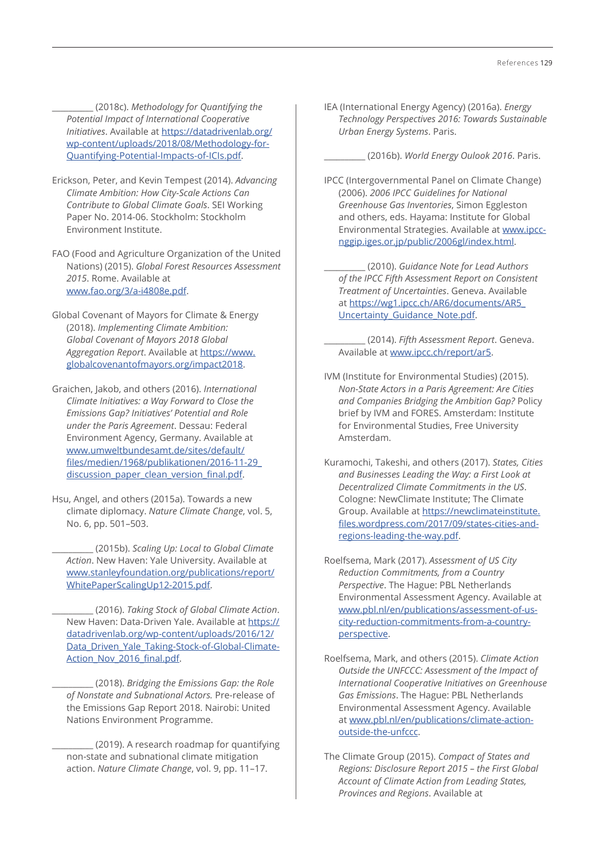\_\_\_\_\_\_\_\_\_\_ (2018c). *Methodology for Quantifying the Potential Impact of International Cooperative Initiatives*. Available at [https://datadrivenlab.org/](https://datadrivenlab.org/wp-content/uploads/2018/08/Methodology-for-Quantifying-Potential-Impacts-of-ICIs.pdf) [wp-content/uploads/2018/08/Methodology-for-](https://datadrivenlab.org/wp-content/uploads/2018/08/Methodology-for-Quantifying-Potential-Impacts-of-ICIs.pdf)[Quantifying-Potential-Impacts-of-ICIs.pdf](https://datadrivenlab.org/wp-content/uploads/2018/08/Methodology-for-Quantifying-Potential-Impacts-of-ICIs.pdf).

- Erickson, Peter, and Kevin Tempest (2014). *Advancing Climate Ambition: How City-Scale Actions Can Contribute to Global Climate Goals*. SEI Working Paper No. 2014-06. Stockholm: Stockholm Environment Institute.
- FAO (Food and Agriculture Organization of the United Nations) (2015). *Global Forest Resources Assessment 2015*. Rome. Available at [www.fao.org/3/a-i4808e.pdf](http://www.fao.org/3/a-i4808e.pdf).
- Global Covenant of Mayors for Climate & Energy (2018). *Implementing Climate Ambition: Global Covenant of Mayors 2018 Global Aggregation Report*. Available at https://[www.](https://www.globalcovenantofmayors.org/impact2018) [globalcovenantofmayors.org/impact2018](https://www.globalcovenantofmayors.org/impact2018).
- Graichen, Jakob, and others (2016). *International Climate Initiatives: a Way Forward to Close the Emissions Gap? Initiatives' Potential and Role under the Paris Agreement*. Dessau: Federal Environment Agency, Germany. Available at [www.umweltbundesamt.de/sites/default/](http://www.umweltbundesamt.de/sites/default/files/medien/1968/publikationen/2016-11-29_discussion_paper_clean_version_final.pdf) [files/medien/1968/publikationen/2016-11-29\\_](http://www.umweltbundesamt.de/sites/default/files/medien/1968/publikationen/2016-11-29_discussion_paper_clean_version_final.pdf) [discussion\\_paper\\_clean\\_version\\_final.pdf](http://www.umweltbundesamt.de/sites/default/files/medien/1968/publikationen/2016-11-29_discussion_paper_clean_version_final.pdf).
- Hsu, Angel, and others (2015a). Towards a new climate diplomacy. *Nature Climate Change*, vol. 5, No. 6, pp. 501–503.

\_\_\_\_\_\_\_\_\_\_ (2015b). *Scaling Up: Local to Global Climate Action*. New Haven: Yale University. Available at [www.stanleyfoundation.org/publications/report/](http://www.stanleyfoundation.org/publications/report/WhitePaperScalingUp12-2015.pdf) [WhitePaperScalingUp12-2015.pdf.](http://www.stanleyfoundation.org/publications/report/WhitePaperScalingUp12-2015.pdf)

\_\_\_\_\_\_\_\_\_\_ (2016). *Taking Stock of Global Climate Action*. New Haven: Data-Driven Yale. Available at [https://](https://datadrivenlab.org/wp-content/uploads/2016/12/Data_Driven_Yale_Taking-Stock-of-Global-Climate-Action_Nov_2016_final.pdf) [datadrivenlab.org/wp-content/uploads/2016/12/](https://datadrivenlab.org/wp-content/uploads/2016/12/Data_Driven_Yale_Taking-Stock-of-Global-Climate-Action_Nov_2016_final.pdf) [Data\\_Driven\\_Yale\\_Taking-Stock-of-Global-Climate-](https://datadrivenlab.org/wp-content/uploads/2016/12/Data_Driven_Yale_Taking-Stock-of-Global-Climate-Action_Nov_2016_final.pdf)[Action\\_Nov\\_2016\\_final.pdf](https://datadrivenlab.org/wp-content/uploads/2016/12/Data_Driven_Yale_Taking-Stock-of-Global-Climate-Action_Nov_2016_final.pdf).

\_\_\_\_\_\_\_\_\_\_ (2018). *Bridging the Emissions Gap: the Role of Nonstate and Subnational Actors.* Pre-release of the Emissions Gap Report 2018. Nairobi: United Nations Environment Programme.

(2019). A research roadmap for quantifying non-state and subnational climate mitigation action. *Nature Climate Change*, vol. 9, pp. 11–17.

IEA (International Energy Agency) (2016a). *Energy Technology Perspectives 2016: Towards Sustainable Urban Energy Systems*. Paris.

\_\_\_\_\_\_\_\_\_\_ (2016b). *World Energy Oulook 2016*. Paris.

IPCC (Intergovernmental Panel on Climate Change) (2006). *2006 IPCC Guidelines for National Greenhouse Gas Inventories*, Simon Eggleston and others, eds. Hayama: Institute for Global Environmental Strategies. Available at [www.ipcc](http://www.ipcc-nggip.iges.or.jp/public/2006gl/index.html)[nggip.iges.or.jp/public/2006gl/index.html](http://www.ipcc-nggip.iges.or.jp/public/2006gl/index.html).

\_\_\_\_\_\_\_\_\_\_ (2010). *Guidance Note for Lead Authors of the IPCC Fifth Assessment Report on Consistent Treatment of Uncertainties*. Geneva. Available at [https://wg1.ipcc.ch/AR6/documents/AR5\\_](https://wg1.ipcc.ch/AR6/documents/AR5_Uncertainty_Guidance_Note.pdf) [Uncertainty\\_Guidance\\_Note.pdf](https://wg1.ipcc.ch/AR6/documents/AR5_Uncertainty_Guidance_Note.pdf).

\_\_\_\_\_\_\_\_\_\_ (2014). *Fifth Assessment Report*. Geneva. Available at [www.ipcc.ch/report/ar5](http://www.ipcc.ch/report/ar5).

- IVM (Institute for Environmental Studies) (2015). *Non-State Actors in a Paris Agreement: Are Cities and Companies Bridging the Ambition Gap?* Policy brief by IVM and FORES. Amsterdam: Institute for Environmental Studies, Free University Amsterdam.
- Kuramochi, Takeshi, and others (2017). *States, Cities and Businesses Leading the Way: a First Look at Decentralized Climate Commitments in the US*. Cologne: NewClimate Institute; The Climate Group. Available at [https://newclimateinstitute.](https://newclimateinstitute.files.wordpress.com/2017/09/states-cities-and-regions-leading-the-way.pdf) [files.wordpress.com/2017/09/states-cities-and](https://newclimateinstitute.files.wordpress.com/2017/09/states-cities-and-regions-leading-the-way.pdf)[regions-leading-the-way.pdf.](https://newclimateinstitute.files.wordpress.com/2017/09/states-cities-and-regions-leading-the-way.pdf)
- Roelfsema, Mark (2017). *Assessment of US City Reduction Commitments, from a Country Perspective*. The Hague: PBL Netherlands Environmental Assessment Agency. Available at [www.pbl.nl/en/publications/assessment-of-us](http://www.pbl.nl/en/publications/assessment-of-us-city-reduction-commitments-from-a-country-perspective)[city-reduction-commitments-from-a-country](http://www.pbl.nl/en/publications/assessment-of-us-city-reduction-commitments-from-a-country-perspective)[perspective](http://www.pbl.nl/en/publications/assessment-of-us-city-reduction-commitments-from-a-country-perspective).
- Roelfsema, Mark, and others (2015). *Climate Action Outside the UNFCCC: Assessment of the Impact of International Cooperative Initiatives on Greenhouse Gas Emissions*. The Hague: PBL Netherlands Environmental Assessment Agency. Available at [www.pbl.nl/en/publications/climate-action](http://www.pbl.nl/en/publications/climate-action-outside-the-unfccc)[outside-the-unfccc](http://www.pbl.nl/en/publications/climate-action-outside-the-unfccc).
- The Climate Group (2015). *Compact of States and Regions: Disclosure Report 2015 – the First Global Account of Climate Action from Leading States, Provinces and Regions*. Available at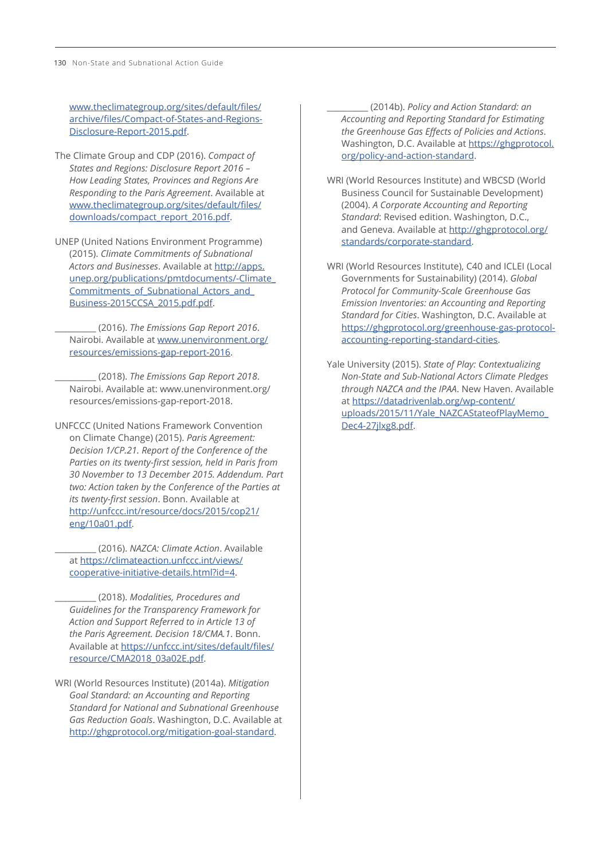[www.theclimategroup.org/sites/default/files/](http://www.theclimategroup.org/sites/default/files/archive/files/Compact-of-States-and-Regions-Disclosure-Report-2015.pdf) [archive/files/Compact-of-States-and-Regions-](http://www.theclimategroup.org/sites/default/files/archive/files/Compact-of-States-and-Regions-Disclosure-Report-2015.pdf)[Disclosure-Report-2015.pdf.](http://www.theclimategroup.org/sites/default/files/archive/files/Compact-of-States-and-Regions-Disclosure-Report-2015.pdf)

- The Climate Group and CDP (2016). *Compact of States and Regions: Disclosure Report 2016 – How Leading States, Provinces and Regions Are Responding to the Paris Agreement*. Available at [www.theclimategroup.org/sites/default/files/](http://www.theclimategroup.org/sites/default/files/downloads/compact_report_2016.pdf) [downloads/compact\\_report\\_2016.pdf](http://www.theclimategroup.org/sites/default/files/downloads/compact_report_2016.pdf).
- UNEP (United Nations Environment Programme) (2015). *Climate Commitments of Subnational Actors and Businesses*. Available at [http://apps.](http://apps.unep.org/publications/pmtdocuments/-Climate_Commitments_of_Subnational_Actors_and_Business-2015CCSA_2015.pdf.pdf) [unep.org/publications/pmtdocuments/-Climate\\_](http://apps.unep.org/publications/pmtdocuments/-Climate_Commitments_of_Subnational_Actors_and_Business-2015CCSA_2015.pdf.pdf) [Commitments\\_of\\_Subnational\\_Actors\\_and\\_](http://apps.unep.org/publications/pmtdocuments/-Climate_Commitments_of_Subnational_Actors_and_Business-2015CCSA_2015.pdf.pdf) [Business-2015CCSA\\_2015.pdf.pdf](http://apps.unep.org/publications/pmtdocuments/-Climate_Commitments_of_Subnational_Actors_and_Business-2015CCSA_2015.pdf.pdf).

\_\_\_\_\_\_\_\_\_\_ (2016). *The Emissions Gap Report 2016*. Nairobi. Available at [www.unenvironment.org/](http://www.unenvironment.org/resources/emissions-gap-report-2016) [resources/emissions-gap-report-2016](http://www.unenvironment.org/resources/emissions-gap-report-2016).

\_\_\_\_\_\_\_\_\_\_ (2018). *The Emissions Gap Report 2018*. Nairobi. Available at: www.unenvironment.org/ resources/emissions-gap-report-2018.

UNFCCC (United Nations Framework Convention on Climate Change) (2015). *Paris Agreement: Decision 1/CP.21. Report of the Conference of the Parties on its twenty-first session, held in Paris from 30 November to 13 December 2015. Addendum. Part two: Action taken by the Conference of the Parties at its twenty-first session*. Bonn. Available at [http://unfccc.int/resource/docs/2015/cop21/](http://unfccc.int/resource/docs/2015/cop21/eng/10a01.pdf) [eng/10a01.pdf](http://unfccc.int/resource/docs/2015/cop21/eng/10a01.pdf).

\_\_\_\_\_\_\_\_\_\_ (2016). *NAZCA: Climate Action*. Available at [https://climateaction.unfccc.int/views/](https://climateaction.unfccc.int/views/cooperative-initiative-details.html?id=4) [cooperative-initiative-details.html?id=4](https://climateaction.unfccc.int/views/cooperative-initiative-details.html?id=4).

\_\_\_\_\_\_\_\_\_\_ (2018). *Modalities, Procedures and Guidelines for the Transparency Framework for Action and Support Referred to in Article 13 of the Paris Agreement. Decision 18/CMA.1*. Bonn. Available at [https://unfccc.int/sites/default/files/](https://unfccc.int/sites/default/files/resource/CMA2018_03a02E.pdf) [resource/CMA2018\\_03a02E.pdf](https://unfccc.int/sites/default/files/resource/CMA2018_03a02E.pdf).

WRI (World Resources Institute) (2014a). *Mitigation Goal Standard: an Accounting and Reporting Standard for National and Subnational Greenhouse Gas Reduction Goals*. Washington, D.C. Available at <http://ghgprotocol.org/mitigation-goal-standard>.

\_\_\_\_\_\_\_\_\_\_ (2014b). *Policy and Action Standard: an Accounting and Reporting Standard for Estimating the Greenhouse Gas Effects of Policies and Actions*. Washington, D.C. Available at [https://ghgprotocol.](https://ghgprotocol.org/policy-and-action-standard) [org/policy-and-action-standard](https://ghgprotocol.org/policy-and-action-standard).

- WRI (World Resources Institute) and WBCSD (World Business Council for Sustainable Development) (2004). *A Corporate Accounting and Reporting Standard*: Revised edition. Washington, D.C., and Geneva. Available at [http://ghgprotocol.org/](http://ghgprotocol.org/standards/corporate-standard) [standards/corporate-standard](http://ghgprotocol.org/standards/corporate-standard).
- WRI (World Resources Institute), C40 and ICLEI (Local Governments for Sustainability) (2014). *Global Protocol for Community-Scale Greenhouse Gas Emission Inventories: an Accounting and Reporting Standard for Cities*. Washington, D.C. Available at [https://ghgprotocol.org/greenhouse-gas-protocol](https://ghgprotocol.org/greenhouse-gas-protocol-accounting-reporting-standard-cities)[accounting-reporting-standard-cities](https://ghgprotocol.org/greenhouse-gas-protocol-accounting-reporting-standard-cities).

Yale University (2015). *State of Play: Contextualizing Non-State and Sub-National Actors Climate Pledges through NAZCA and the IPAA*. New Haven. Available at [https://datadrivenlab.org/wp-content/](https://datadrivenlab.org/wp-content/uploads/2015/11/Yale_NAZCAStateofPlayMemo_Dec4-27jlxg8.pdf) [uploads/2015/11/Yale\\_NAZCAStateofPlayMemo\\_](https://datadrivenlab.org/wp-content/uploads/2015/11/Yale_NAZCAStateofPlayMemo_Dec4-27jlxg8.pdf) [Dec4-27jlxg8.pdf](https://datadrivenlab.org/wp-content/uploads/2015/11/Yale_NAZCAStateofPlayMemo_Dec4-27jlxg8.pdf).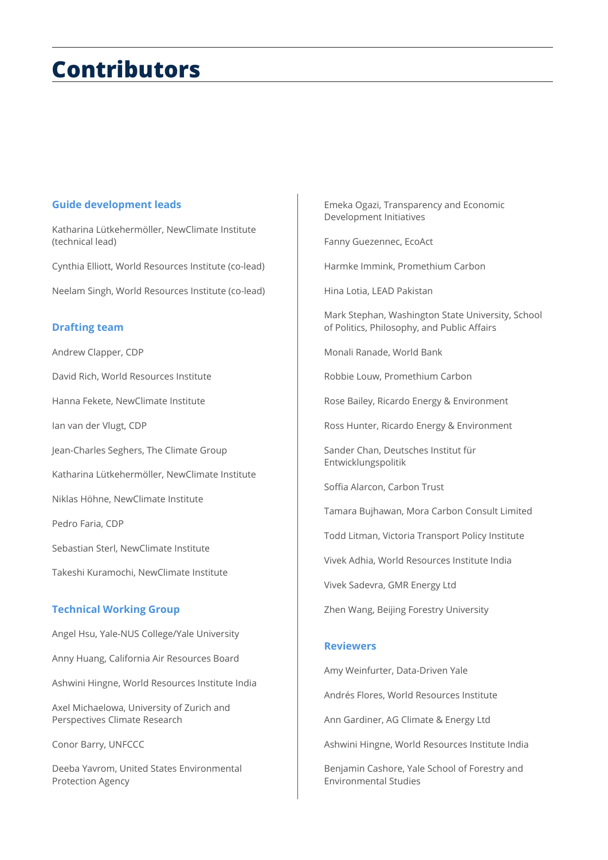## **Contributors**

### **Guide development leads**

Katharina Lütkehermöller, NewClimate Institute (technical lead)

Cynthia Elliott, World Resources Institute (co-lead)

Neelam Singh, World Resources Institute (co-lead)

### **Drafting team**

Andrew Clapper, CDP

David Rich, World Resources Institute

Hanna Fekete, NewClimate Institute

Ian van der Vlugt, CDP

Jean-Charles Seghers, The Climate Group

Katharina Lütkehermöller, NewClimate Institute

Niklas Höhne, NewClimate Institute

Pedro Faria, CDP

Sebastian Sterl, NewClimate Institute

Takeshi Kuramochi, NewClimate Institute

### **Technical Working Group**

Angel Hsu, Yale-NUS College/Yale University

Anny Huang, California Air Resources Board

Ashwini Hingne, World Resources Institute India

Axel Michaelowa, University of Zurich and Perspectives Climate Research

Conor Barry, UNFCCC

Deeba Yavrom, United States Environmental Protection Agency

Emeka Ogazi, Transparency and Economic Development Initiatives

Fanny Guezennec, EcoAct

Harmke Immink, Promethium Carbon

Hina Lotia, LEAD Pakistan

Mark Stephan, Washington State University, School of Politics, Philosophy, and Public Affairs

Monali Ranade, World Bank

Robbie Louw, Promethium Carbon

Rose Bailey, Ricardo Energy & Environment

Ross Hunter, Ricardo Energy & Environment

Sander Chan, Deutsches Institut für Entwicklungspolitik

Soffia Alarcon, Carbon Trust

Tamara Bujhawan, Mora Carbon Consult Limited

Todd Litman, Victoria Transport Policy Institute

Vivek Adhia, World Resources Institute India

Vivek Sadevra, GMR Energy Ltd

Zhen Wang, Beijing Forestry University

### **Reviewers**

Amy Weinfurter, Data-Driven Yale

Andrés Flores, World Resources Institute

Ann Gardiner, AG Climate & Energy Ltd

Ashwini Hingne, World Resources Institute India

Benjamin Cashore, Yale School of Forestry and Environmental Studies